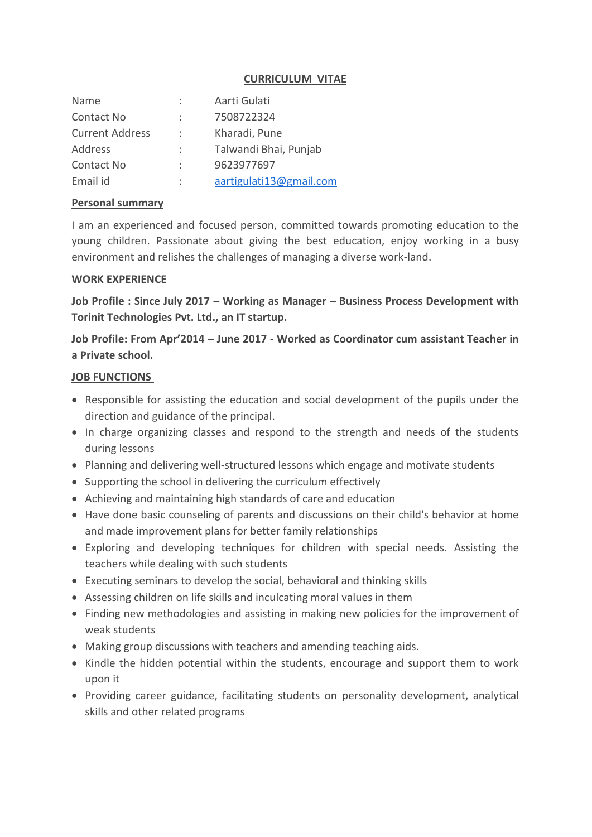### **CURRICULUM VITAE**

| Name                   | $\mathcal{L}$  | Aarti Gulati            |
|------------------------|----------------|-------------------------|
| Contact No             |                | 7508722324              |
| <b>Current Address</b> | $\mathcal{L}$  | Kharadi, Pune           |
| Address                | $\mathcal{L}$  | Talwandi Bhai, Punjab   |
| Contact No             | $\mathbb{R}^n$ | 9623977697              |
| Email id               |                | aartigulati13@gmail.com |

### **Personal summary**

I am an experienced and focused person, committed towards promoting education to the young children. Passionate about giving the best education, enjoy working in a busy environment and relishes the challenges of managing a diverse work-land.

### **WORK EXPERIENCE**

**Job Profile : Since July 2017 – Working as Manager – Business Process Development with Torinit Technologies Pvt. Ltd., an IT startup.**

**Job Profile: From Apr'2014 – June 2017 - Worked as Coordinator cum assistant Teacher in a Private school.**

### **JOB FUNCTIONS**

- Responsible for assisting the education and social development of the pupils under the direction and guidance of the principal.
- In charge organizing classes and respond to the strength and needs of the students during lessons
- Planning and delivering well-structured lessons which engage and motivate students
- Supporting the school in delivering the curriculum effectively
- Achieving and maintaining high standards of care and education
- Have done basic counseling of parents and discussions on their child's behavior at home and made improvement plans for better family relationships
- Exploring and developing techniques for children with special needs. Assisting the teachers while dealing with such students
- Executing seminars to develop the social, behavioral and thinking skills
- Assessing children on life skills and inculcating moral values in them
- Finding new methodologies and assisting in making new policies for the improvement of weak students
- Making group discussions with teachers and amending teaching aids.
- Kindle the hidden potential within the students, encourage and support them to work upon it
- Providing career guidance, facilitating students on personality development, analytical skills and other related programs